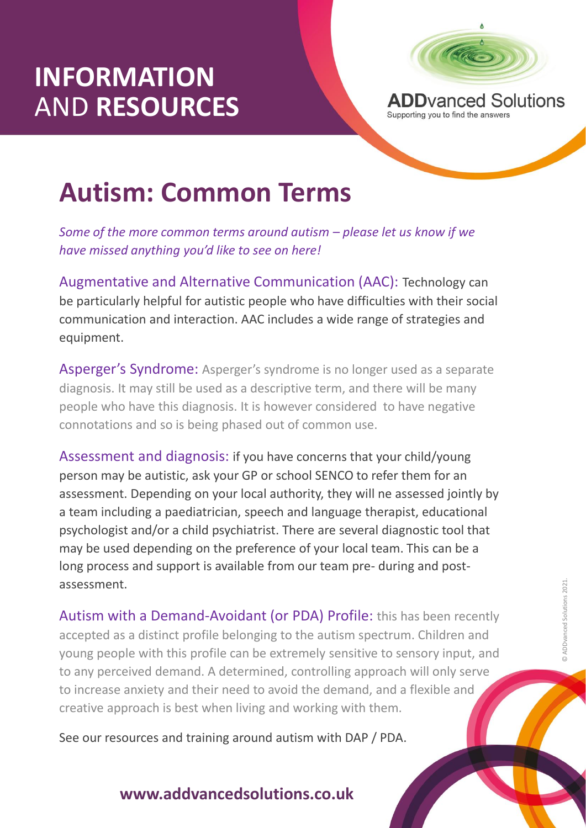# **INFORMATION** AND **RESOURCES**



# **Autism: Common Terms**

*Some of the more common terms around autism – please let us know if we have missed anything you'd like to see on here!*

Augmentative and Alternative Communication (AAC): Technology can be particularly helpful for autistic people who have difficulties with their social communication and interaction. AAC includes a wide range of strategies and equipment.

Asperger's Syndrome: Asperger's syndrome is no longer used as a separate diagnosis. It may still be used as a descriptive term, and there will be many people who have this diagnosis. It is however considered to have negative connotations and so is being phased out of common use.

Assessment and diagnosis: if you have concerns that your child/young person may be autistic, ask your GP or school SENCO to refer them for an assessment. Depending on your local authority, they will ne assessed jointly by a team including a paediatrician, speech and language therapist, educational psychologist and/or a child psychiatrist. There are several diagnostic tool that may be used depending on the preference of your local team. This can be a long process and support is available from our team pre- during and postassessment.

ant (OFFDA) r<br>onging to the aur<br>n be extremely s Autism with a Demand-Avoidant (or PDA) Profile: this has been recently accepted as a distinct profile belonging to the autism spectrum. Children and young people with this profile can be extremely sensitive to sensory input, and to any perceived demand. A determined, controlling approach will only serve to increase anxiety and their need to avoid the demand, and a flexible and creative approach is best when living and working with them.

See our resources and training around autism with DAP / PDA.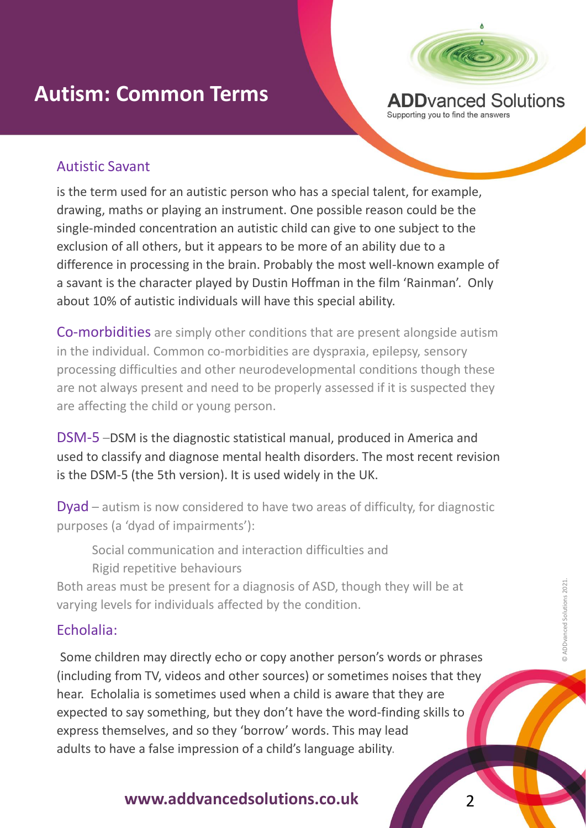

**ADD**vanced Solutions Supporting you to find the answers

#### Autistic Savant

is the term used for an autistic person who has a special talent, for example, drawing, maths or playing an instrument. One possible reason could be the single-minded concentration an autistic child can give to one subject to the exclusion of all others, but it appears to be more of an ability due to a difference in processing in the brain. Probably the most well-known example of a savant is the character played by Dustin Hoffman in the film 'Rainman'. Only about 10% of autistic individuals will have this special ability.

Co-morbidities are simply other conditions that are present alongside autism in the individual. Common co-morbidities are dyspraxia, epilepsy, sensory processing difficulties and other neurodevelopmental conditions though these are not always present and need to be properly assessed if it is suspected they are affecting the child or young person.

DSM-5 –DSM is the diagnostic statistical manual, produced in America and used to classify and diagnose mental health disorders. The most recent revision is the DSM-5 (the 5th version). It is used widely in the UK.

Dyad – autism is now considered to have two areas of difficulty, for diagnostic purposes (a 'dyad of impairments'):

Social communication and interaction difficulties and Rigid repetitive behaviours

Both areas must be present for a diagnosis of ASD, though they will be at varying levels for individuals affected by the condition.

#### Echolalia:

E<mark>cholalia:</mark><br>Some children may directly echo or copy another person's words or phrases (including from TV, videos and other sources) or sometimes noises that they hear. Echolalia is sometimes used when a child is aware that they are expected to say something, but they don't have the word-finding skills to express themselves, and so they 'borrow' words. This may lead adults to have a false impression of a child's language ability.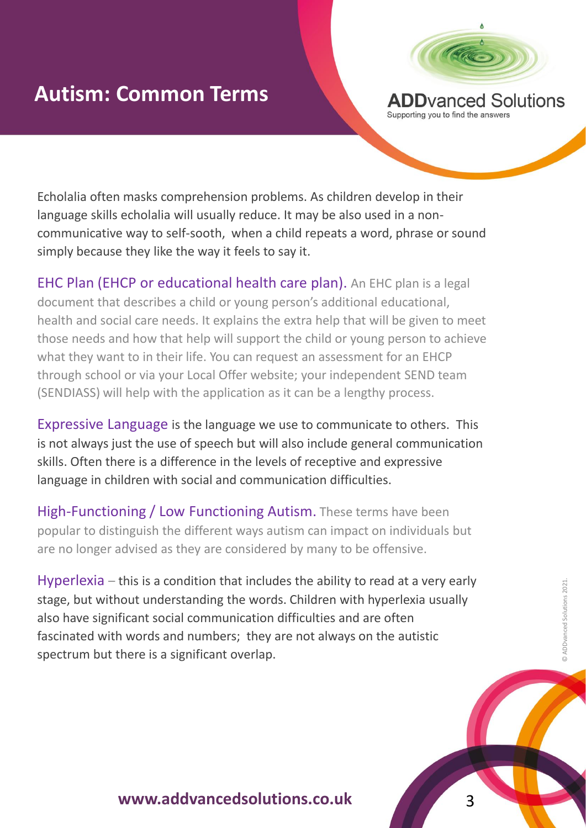

Echolalia often masks comprehension problems. As children develop in their language skills echolalia will usually reduce. It may be also used in a noncommunicative way to self-sooth, when a child repeats a word, phrase or sound simply because they like the way it feels to say it.

EHC Plan (EHCP or educational health care plan). An EHC plan is a legal document that describes a child or young person's additional educational, health and social care needs. It explains the extra help that will be given to meet those needs and how that help will support the child or young person to achieve what they want to in their life. You can request an assessment for an EHCP through school or via your Local Offer website; your independent SEND team (SENDIASS) will help with the application as it can be a lengthy process.

Expressive Language is the language we use to communicate to others. This is not always just the use of speech but will also include general communication skills. Often there is a difference in the levels of receptive and expressive language in children with social and communication difficulties.

High-Functioning / Low Functioning Autism. These terms have been popular to distinguish the different ways autism can impact on individuals but are no longer advised as they are considered by many to be offensive.

cation difficulties<br>they are not alv<br>erlap. Hyperlexia – this is a condition that includes the ability to read at a very early stage, but without understanding the words. Children with hyperlexia usually also have significant social communication difficulties and are often fascinated with words and numbers; they are not always on the autistic spectrum but there is a significant overlap.



© ADDvanced Solutions 2021.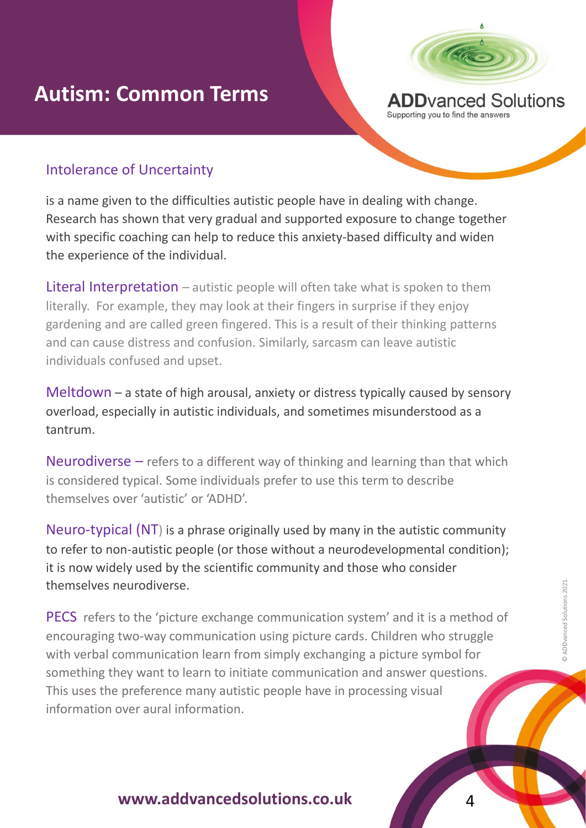

Intolerance of Uncertainty

is a name given to the difficulties autistic people have in dealing with change. Research has shown that very gradual and supported exposure to change together with specific coaching can help to reduce this anxiety-based difficulty and widen the experience of the individual.

Literal Interpretation – autistic people will often take what is spoken to them literally. For example, they may look at their fingers in surprise if they enjoy gardening and are called green fingered. This is a result of their thinking patterns and can cause distress and confusion. Similarly, sarcasm can leave autistic individuals confused and upset.

Meltdown – a state of high arousal, anxiety or distress typically caused by sensory overload, especially in autistic individuals, and sometimes misunderstood as a tantrum.

Neurodiverse  $-$  refers to a different way of thinking and learning than that which is considered typical. Some individuals prefer to use this term to describe themselves over 'autistic' or 'ADHD'.

Neuro-typical (NT) is a phrase originally used by many in the autistic community to refer to non-autistic people (or those without a neurodevelopmental condition); it is now widely used by the scientific community and those who consider themselves neurodiverse.

PECS Telers to the picture exchange communication system and it is a methomorrocorrelation using picture cards. Children who strugg<br>with verbal communication learn from simply exchanging a picture symbol for PECS refers to the 'picture exchange communication system' and it is a method of encouraging two-way communication using picture cards. Children who struggle something they want to learn to initiate communication and answer questions. This uses the preference many autistic people have in processing visual information over aural information.

 $\Delta$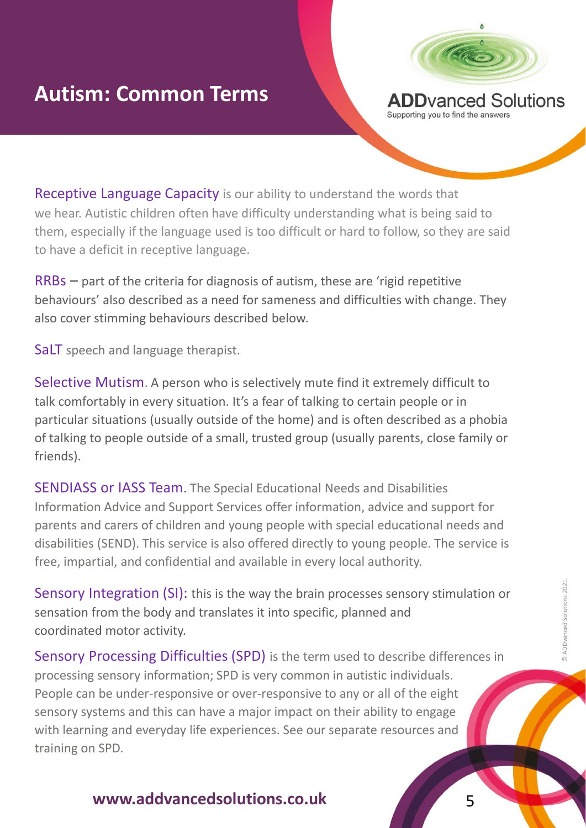

Receptive Language Capacity is our ability to understand the words that we hear. Autistic children often have difficulty understanding what is being said to them, especially if the language used is too difficult or hard to follow, so they are said to have a deficit in receptive language.

RRBs – part of the criteria for diagnosis of autism, these are 'rigid repetitive behaviours' also described as a need for sameness and difficulties with change. They also cover stimming behaviours described below.

SaLT speech and language therapist.

Selective Mutism. A person who is selectively mute find it extremely difficult to talk comfortably in every situation. It's a fear of talking to certain people or in particular situations (usually outside of the home) and is often described as a phobia of talking to people outside of a small, trusted group (usually parents, close family or friends).

SENDIASS or IASS Team. The Special Educational Needs and Disabilities Information Advice and Support Services offer information, advice and support for parents and carers of children and young people with special educational needs and disabilities (SEND). This service is also offered directly to young people. The service is free, impartial, and confidential and available in every local authority.

coordinated motor activity.<br>Coordinated motor activity.<br>Sensory Processing Difficulties (SPD) is the term used to describe differences in Sensory Integration (SI): this is the way the brain processes sensory stimulation or sensation from the body and translates it into specific, planned and coordinated motor activity.

processing sensory information; SPD is very common in autistic individuals. People can be under-responsive or over-responsive to any or all of the eight sensory systems and this can have a major impact on their ability to engage with learning and everyday life experiences. See our separate resources and training on SPD.

5